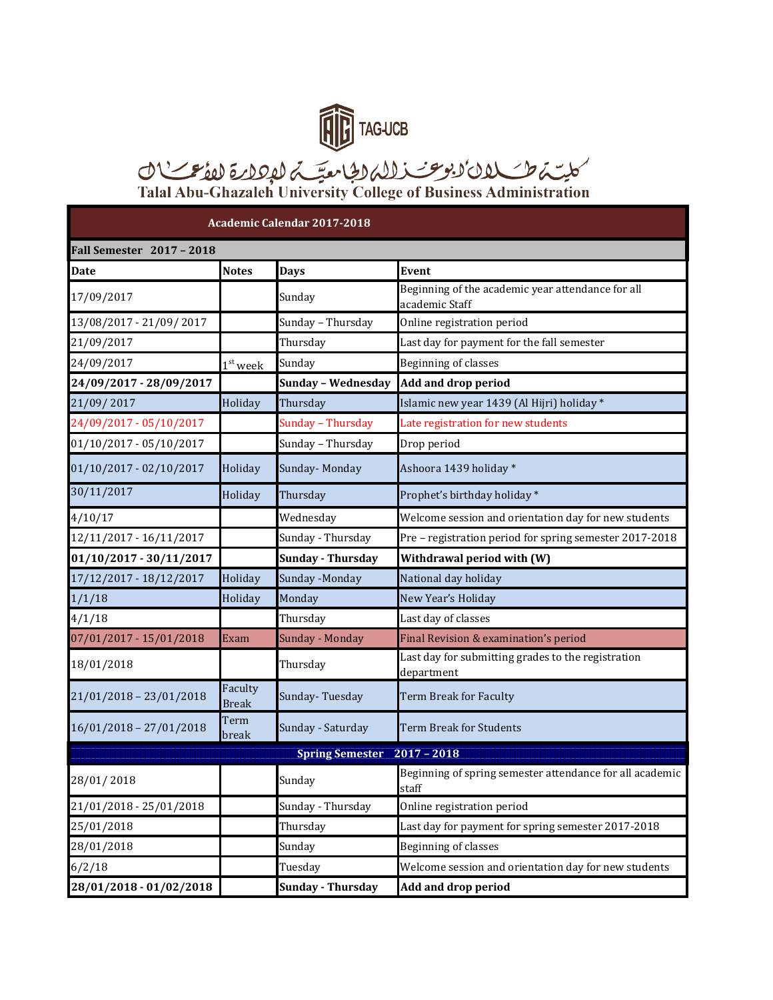

## TAGUCB<br>کلیسّہ طے کلان کی یوسخت زلالہ لیگ معیّسہ لیکھلاتے لکھنے کے لاکھا<br>Talal Abu-Ghazaleh University College of Business Administration

| <b>Academic Calendar 2017-2018</b>      |                         |                          |                                                                     |  |  |
|-----------------------------------------|-------------------------|--------------------------|---------------------------------------------------------------------|--|--|
| <b>Fall Semester 2017 - 2018</b>        |                         |                          |                                                                     |  |  |
| Date                                    | <b>Notes</b>            | <b>Days</b>              | <b>Event</b>                                                        |  |  |
| 17/09/2017                              |                         | Sunday                   | Beginning of the academic year attendance for all<br>academic Staff |  |  |
| 13/08/2017 - 21/09/2017                 |                         | Sunday - Thursday        | Online registration period                                          |  |  |
| 21/09/2017                              |                         | Thursday                 | Last day for payment for the fall semester                          |  |  |
| 24/09/2017                              | $1st$ week              | Sunday                   | Beginning of classes                                                |  |  |
| 24/09/2017 - 28/09/2017                 |                         | Sunday - Wednesday       | Add and drop period                                                 |  |  |
| 21/09/2017                              | Holiday                 | Thursday                 | Islamic new year 1439 (Al Hijri) holiday *                          |  |  |
| 24/09/2017 - 05/10/2017                 |                         | Sunday - Thursday        | Late registration for new students                                  |  |  |
| 01/10/2017 - 05/10/2017                 |                         | Sunday - Thursday        | Drop period                                                         |  |  |
| 01/10/2017 - 02/10/2017                 | Holiday                 | Sunday-Monday            | Ashoora 1439 holiday*                                               |  |  |
| 30/11/2017                              | Holiday                 | Thursday                 | Prophet's birthday holiday *                                        |  |  |
| 4/10/17                                 |                         | Wednesday                | Welcome session and orientation day for new students                |  |  |
| 12/11/2017 - 16/11/2017                 |                         | Sunday - Thursday        | Pre - registration period for spring semester 2017-2018             |  |  |
| 01/10/2017 - 30/11/2017                 |                         | <b>Sunday - Thursday</b> | Withdrawal period with (W)                                          |  |  |
| 17/12/2017 - 18/12/2017                 | Holiday                 | Sunday -Monday           | National day holiday                                                |  |  |
| 1/1/18                                  | Holiday                 | Monday                   | New Year's Holiday                                                  |  |  |
| 4/1/18                                  |                         | Thursday                 | Last day of classes                                                 |  |  |
| 07/01/2017 - 15/01/2018                 | Exam                    | Sunday - Monday          | Final Revision & examination's period                               |  |  |
| 18/01/2018                              |                         | Thursday                 | Last day for submitting grades to the registration<br>department    |  |  |
| 21/01/2018 - 23/01/2018                 | Faculty<br><b>Break</b> | Sunday-Tuesday           | Term Break for Faculty                                              |  |  |
| 16/01/2018 - 27/01/2018                 | Term<br>break           | Sunday - Saturday        | Term Break for Students                                             |  |  |
| <b>Spring Semester</b><br>$2017 - 2018$ |                         |                          |                                                                     |  |  |
| 28/01/2018                              |                         | Sunday                   | Beginning of spring semester attendance for all academic<br>staff   |  |  |
| 21/01/2018 - 25/01/2018                 |                         | Sunday - Thursday        | Online registration period                                          |  |  |
| 25/01/2018                              |                         | Thursday                 | Last day for payment for spring semester 2017-2018                  |  |  |
| 28/01/2018                              |                         | Sunday                   | Beginning of classes                                                |  |  |
| 6/2/18                                  |                         | Tuesday                  | Welcome session and orientation day for new students                |  |  |
| 28/01/2018 - 01/02/2018                 |                         | <b>Sunday - Thursday</b> | <b>Add and drop period</b>                                          |  |  |